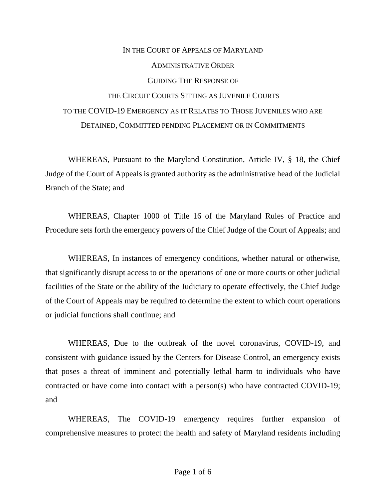## IN THE COURT OF APPEALS OF MARYLAND ADMINISTRATIVE ORDER GUIDING THE RESPONSE OF THE CIRCUIT COURTS SITTING AS JUVENILE COURTS TO THE COVID-19 EMERGENCY AS IT RELATES TO THOSE JUVENILES WHO ARE DETAINED, COMMITTED PENDING PLACEMENT OR IN COMMITMENTS

WHEREAS, Pursuant to the Maryland Constitution, Article IV, § 18, the Chief Judge of the Court of Appeals is granted authority as the administrative head of the Judicial Branch of the State; and

WHEREAS, Chapter 1000 of Title 16 of the Maryland Rules of Practice and Procedure sets forth the emergency powers of the Chief Judge of the Court of Appeals; and

WHEREAS, In instances of emergency conditions, whether natural or otherwise, that significantly disrupt access to or the operations of one or more courts or other judicial facilities of the State or the ability of the Judiciary to operate effectively, the Chief Judge of the Court of Appeals may be required to determine the extent to which court operations or judicial functions shall continue; and

WHEREAS, Due to the outbreak of the novel coronavirus, COVID-19, and consistent with guidance issued by the Centers for Disease Control, an emergency exists that poses a threat of imminent and potentially lethal harm to individuals who have contracted or have come into contact with a person(s) who have contracted COVID-19; and

WHEREAS, The COVID-19 emergency requires further expansion of comprehensive measures to protect the health and safety of Maryland residents including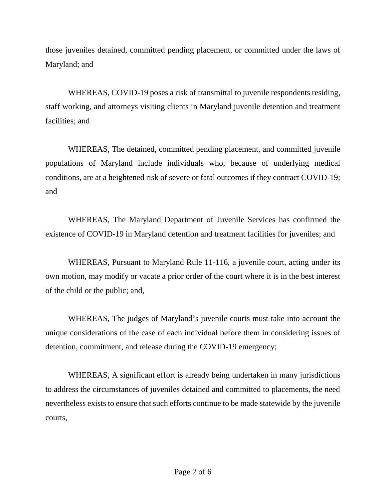those juveniles detained, committed pending placement, or committed under the laws of Maryland; and

WHEREAS, COVID-19 poses a risk of transmittal to juvenile respondents residing, staff working, and attorneys visiting clients in Maryland juvenile detention and treatment facilities; and

WHEREAS, The detained, committed pending placement, and committed juvenile populations of Maryland include individuals who, because of underlying medical conditions, are at a heightened risk of severe or fatal outcomes if they contract COVID-19; and

WHEREAS, The Maryland Department of Juvenile Services has confirmed the existence of COVID-19 in Maryland detention and treatment facilities for juveniles; and

WHEREAS, Pursuant to Maryland Rule 11-116, a juvenile court, acting under its own motion, may modify or vacate a prior order of the court where it is in the best interest of the child or the public; and,

WHEREAS, The judges of Maryland's juvenile courts must take into account the unique considerations of the case of each individual before them in considering issues of detention, commitment, and release during the COVID-19 emergency;

WHEREAS, A significant effort is already being undertaken in many jurisdictions to address the circumstances of juveniles detained and committed to placements, the need nevertheless exists to ensure that such efforts continue to be made statewide by the juvenile courts,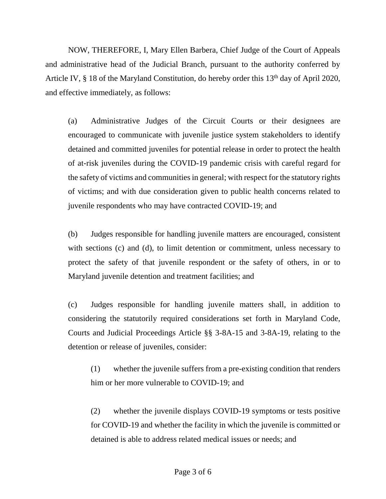NOW, THEREFORE, I, Mary Ellen Barbera, Chief Judge of the Court of Appeals and administrative head of the Judicial Branch, pursuant to the authority conferred by Article IV,  $\S$  18 of the Maryland Constitution, do hereby order this 13<sup>th</sup> day of April 2020, and effective immediately, as follows:

(a) Administrative Judges of the Circuit Courts or their designees are encouraged to communicate with juvenile justice system stakeholders to identify detained and committed juveniles for potential release in order to protect the health of at-risk juveniles during the COVID-19 pandemic crisis with careful regard for the safety of victims and communities in general; with respect for the statutory rights of victims; and with due consideration given to public health concerns related to juvenile respondents who may have contracted COVID-19; and

(b) Judges responsible for handling juvenile matters are encouraged, consistent with sections (c) and (d), to limit detention or commitment, unless necessary to protect the safety of that juvenile respondent or the safety of others, in or to Maryland juvenile detention and treatment facilities; and

(c) Judges responsible for handling juvenile matters shall, in addition to considering the statutorily required considerations set forth in Maryland Code, Courts and Judicial Proceedings Article §§ 3-8A-15 and 3-8A-19, relating to the detention or release of juveniles, consider:

(1) whether the juvenile suffers from a pre-existing condition that renders him or her more vulnerable to COVID-19; and

(2) whether the juvenile displays COVID-19 symptoms or tests positive for COVID-19 and whether the facility in which the juvenile is committed or detained is able to address related medical issues or needs; and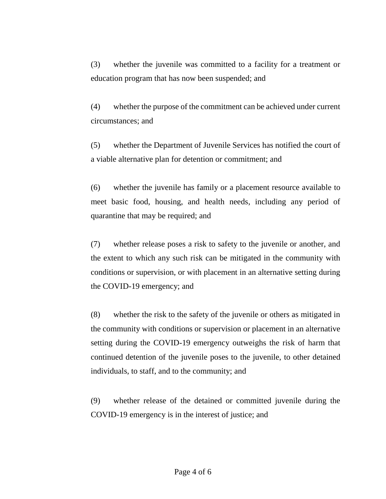(3) whether the juvenile was committed to a facility for a treatment or education program that has now been suspended; and

(4) whether the purpose of the commitment can be achieved under current circumstances; and

(5) whether the Department of Juvenile Services has notified the court of a viable alternative plan for detention or commitment; and

(6) whether the juvenile has family or a placement resource available to meet basic food, housing, and health needs, including any period of quarantine that may be required; and

(7) whether release poses a risk to safety to the juvenile or another, and the extent to which any such risk can be mitigated in the community with conditions or supervision, or with placement in an alternative setting during the COVID-19 emergency; and

(8) whether the risk to the safety of the juvenile or others as mitigated in the community with conditions or supervision or placement in an alternative setting during the COVID-19 emergency outweighs the risk of harm that continued detention of the juvenile poses to the juvenile, to other detained individuals, to staff, and to the community; and

(9) whether release of the detained or committed juvenile during the COVID-19 emergency is in the interest of justice; and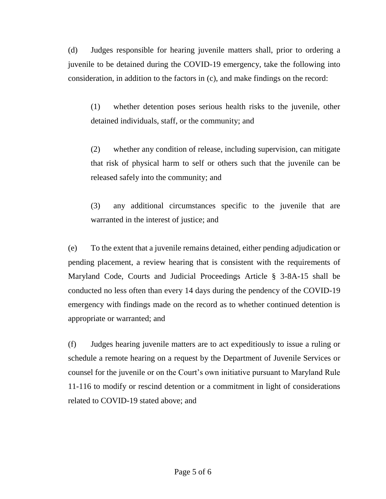(d) Judges responsible for hearing juvenile matters shall, prior to ordering a juvenile to be detained during the COVID-19 emergency, take the following into consideration, in addition to the factors in (c), and make findings on the record:

(1) whether detention poses serious health risks to the juvenile, other detained individuals, staff, or the community; and

(2) whether any condition of release, including supervision, can mitigate that risk of physical harm to self or others such that the juvenile can be released safely into the community; and

(3) any additional circumstances specific to the juvenile that are warranted in the interest of justice; and

(e) To the extent that a juvenile remains detained, either pending adjudication or pending placement, a review hearing that is consistent with the requirements of Maryland Code, Courts and Judicial Proceedings Article § 3-8A-15 shall be conducted no less often than every 14 days during the pendency of the COVID-19 emergency with findings made on the record as to whether continued detention is appropriate or warranted; and

(f) Judges hearing juvenile matters are to act expeditiously to issue a ruling or schedule a remote hearing on a request by the Department of Juvenile Services or counsel for the juvenile or on the Court's own initiative pursuant to Maryland Rule 11-116 to modify or rescind detention or a commitment in light of considerations related to COVID-19 stated above; and